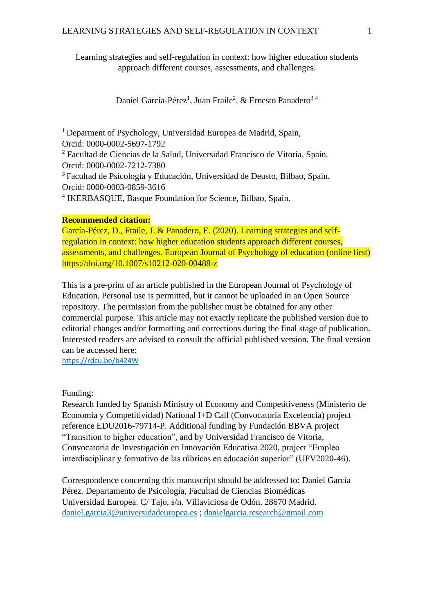Learning strategies and self-regulation in context: how higher education students approach different courses, assessments, and challenges.

Daniel García-Pérez<sup>1</sup>, Juan Fraile<sup>2</sup>, & Ernesto Panadero<sup>34</sup>

 $1$  Deparment of Psychology, Universidad Europea de Madrid, Spain, Orcid: 0000-0002-5697-1792

<sup>2</sup> Facultad de Ciencias de la Salud, Universidad Francisco de Vitoria, Spain. Orcid: 0000-0002-7212-7380

<sup>3</sup>Facultad de Psicología y Educación, Universidad de Deusto, Bilbao, Spain. Orcid: 0000-0003-0859-3616

4 IKERBASQUE, Basque Foundation for Science, Bilbao, Spain.

#### **Recommended citation:**

García-Pérez, D., Fraile, J. & Panadero, E. (2020). Learning strategies and selfregulation in context: how higher education students approach different courses, assessments, and challenges. European Journal of Psychology of education (online first) https://doi.org/10.1007/s10212-020-00488-z

This is a pre-print of an article published in the European Journal of Psychology of Education. Personal use is permitted, but it cannot be uploaded in an Open Source repository. The permission from the publisher must be obtained for any other commercial purpose. This article may not exactly replicate the published version due to editorial changes and/or formatting and corrections during the final stage of publication. Interested readers are advised to consult the official published version. The final version can be accessed here:

<https://rdcu.be/b424W>

Funding:

Research funded by Spanish Ministry of Economy and Competitiveness (Ministerio de Economía y Competitividad) National I+D Call (Convocatoria Excelencia) project reference EDU2016-79714-P. Additional funding by Fundación BBVA project "Transition to higher education", and by Universidad Francisco de Vitoria, Convocatoria de Investigación en Innovación Educativa 2020, project "Empleo interdisciplinar y formativo de las rúbricas en educación superior" (UFV2020-46).

Correspondence concerning this manuscript should be addressed to: Daniel García Pérez. Departamento de Psicología, Facultad de Ciencias Biomédicas Universidad Europea. C/ Tajo, s/n. Villaviciosa de Odón. 28670 Madrid. [daniel.garcia3@universidadeuropea.es](mailto:daniel.garcia3@universidadeuropea.es) ; [danielgarcia.research@gmail.com](mailto:danielgarcia.research@gmail.com)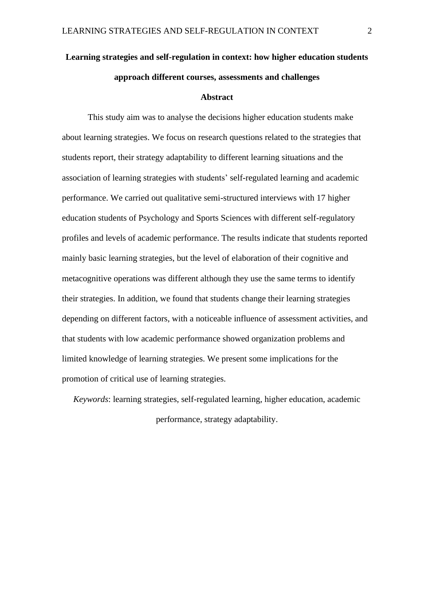# **Learning strategies and self-regulation in context: how higher education students approach different courses, assessments and challenges**

#### **Abstract**

This study aim was to analyse the decisions higher education students make about learning strategies. We focus on research questions related to the strategies that students report, their strategy adaptability to different learning situations and the association of learning strategies with students' self-regulated learning and academic performance. We carried out qualitative semi-structured interviews with 17 higher education students of Psychology and Sports Sciences with different self-regulatory profiles and levels of academic performance. The results indicate that students reported mainly basic learning strategies, but the level of elaboration of their cognitive and metacognitive operations was different although they use the same terms to identify their strategies. In addition, we found that students change their learning strategies depending on different factors, with a noticeable influence of assessment activities, and that students with low academic performance showed organization problems and limited knowledge of learning strategies. We present some implications for the promotion of critical use of learning strategies.

*Keywords*: learning strategies, self-regulated learning, higher education, academic performance, strategy adaptability.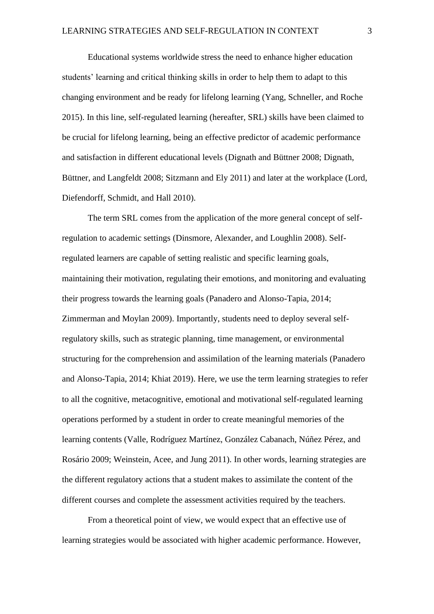Educational systems worldwide stress the need to enhance higher education students' learning and critical thinking skills in order to help them to adapt to this changing environment and be ready for lifelong learning (Yang, Schneller, and Roche 2015). In this line, self-regulated learning (hereafter, SRL) skills have been claimed to be crucial for lifelong learning, being an effective predictor of academic performance and satisfaction in different educational levels (Dignath and Büttner 2008; Dignath, Büttner, and Langfeldt 2008; Sitzmann and Ely 2011) and later at the workplace (Lord, Diefendorff, Schmidt, and Hall 2010).

The term SRL comes from the application of the more general concept of selfregulation to academic settings (Dinsmore, Alexander, and Loughlin 2008). Selfregulated learners are capable of setting realistic and specific learning goals, maintaining their motivation, regulating their emotions, and monitoring and evaluating their progress towards the learning goals (Panadero and Alonso-Tapia, 2014; Zimmerman and Moylan 2009). Importantly, students need to deploy several selfregulatory skills, such as strategic planning, time management, or environmental structuring for the comprehension and assimilation of the learning materials (Panadero and Alonso-Tapia, 2014; Khiat 2019). Here, we use the term learning strategies to refer to all the cognitive, metacognitive, emotional and motivational self-regulated learning operations performed by a student in order to create meaningful memories of the learning contents (Valle, Rodríguez Martínez, González Cabanach, Núñez Pérez, and Rosário 2009; Weinstein, Acee, and Jung 2011). In other words, learning strategies are the different regulatory actions that a student makes to assimilate the content of the different courses and complete the assessment activities required by the teachers.

From a theoretical point of view, we would expect that an effective use of learning strategies would be associated with higher academic performance. However,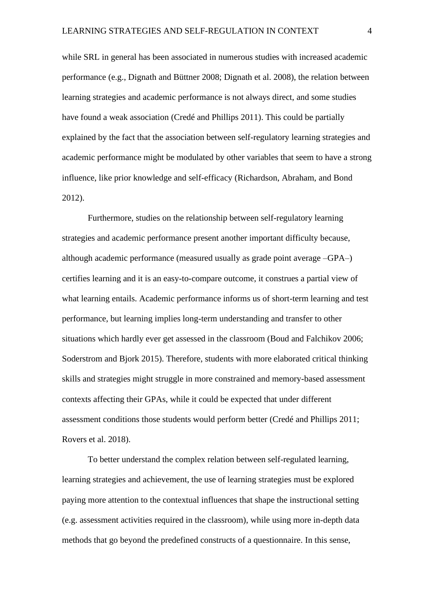while SRL in general has been associated in numerous studies with increased academic performance (e.g., Dignath and Büttner 2008; Dignath et al. 2008), the relation between learning strategies and academic performance is not always direct, and some studies have found a weak association (Credé and Phillips 2011). This could be partially explained by the fact that the association between self-regulatory learning strategies and academic performance might be modulated by other variables that seem to have a strong influence, like prior knowledge and self-efficacy (Richardson, Abraham, and Bond 2012).

Furthermore, studies on the relationship between self-regulatory learning strategies and academic performance present another important difficulty because, although academic performance (measured usually as grade point average –GPA–) certifies learning and it is an easy-to-compare outcome, it construes a partial view of what learning entails. Academic performance informs us of short-term learning and test performance, but learning implies long-term understanding and transfer to other situations which hardly ever get assessed in the classroom (Boud and Falchikov 2006; Soderstrom and Bjork 2015). Therefore, students with more elaborated critical thinking skills and strategies might struggle in more constrained and memory-based assessment contexts affecting their GPAs, while it could be expected that under different assessment conditions those students would perform better (Credé and Phillips 2011; Rovers et al. 2018).

To better understand the complex relation between self-regulated learning, learning strategies and achievement, the use of learning strategies must be explored paying more attention to the contextual influences that shape the instructional setting (e.g. assessment activities required in the classroom), while using more in-depth data methods that go beyond the predefined constructs of a questionnaire. In this sense,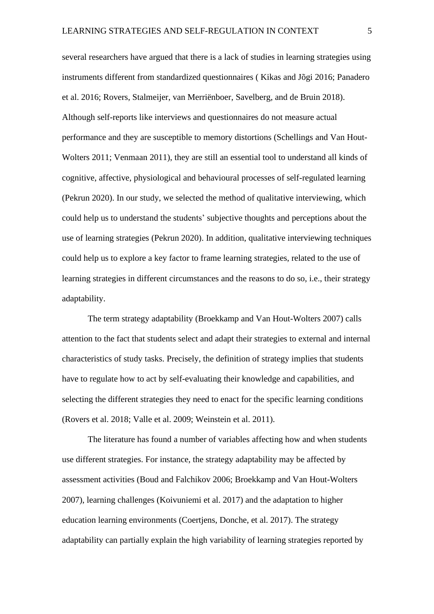several researchers have argued that there is a lack of studies in learning strategies using instruments different from standardized questionnaires ( Kikas and Jõgi 2016; Panadero et al. 2016; Rovers, Stalmeijer, van Merriënboer, Savelberg, and de Bruin 2018). Although self-reports like interviews and questionnaires do not measure actual performance and they are susceptible to memory distortions (Schellings and Van Hout-Wolters 2011; Venmaan 2011), they are still an essential tool to understand all kinds of cognitive, affective, physiological and behavioural processes of self-regulated learning (Pekrun 2020). In our study, we selected the method of qualitative interviewing, which could help us to understand the students' subjective thoughts and perceptions about the use of learning strategies (Pekrun 2020). In addition, qualitative interviewing techniques could help us to explore a key factor to frame learning strategies, related to the use of learning strategies in different circumstances and the reasons to do so, i.e., their strategy adaptability.

The term strategy adaptability (Broekkamp and Van Hout-Wolters 2007) calls attention to the fact that students select and adapt their strategies to external and internal characteristics of study tasks. Precisely, the definition of strategy implies that students have to regulate how to act by self-evaluating their knowledge and capabilities, and selecting the different strategies they need to enact for the specific learning conditions (Rovers et al. 2018; Valle et al. 2009; Weinstein et al. 2011).

The literature has found a number of variables affecting how and when students use different strategies. For instance, the strategy adaptability may be affected by assessment activities (Boud and Falchikov 2006; Broekkamp and Van Hout-Wolters 2007), learning challenges (Koivuniemi et al. 2017) and the adaptation to higher education learning environments (Coertjens, Donche, et al. 2017). The strategy adaptability can partially explain the high variability of learning strategies reported by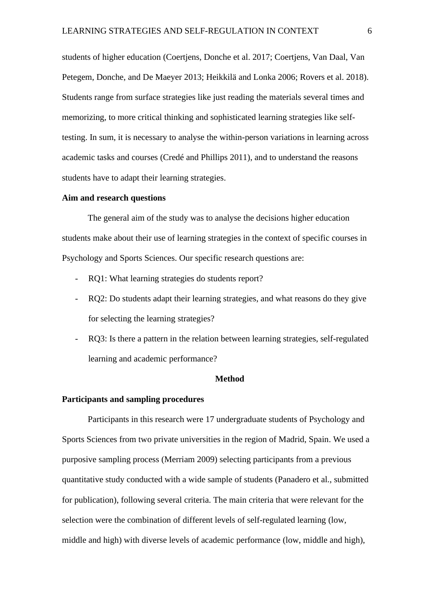students of higher education (Coertjens, Donche et al. 2017; Coertjens, Van Daal, Van Petegem, Donche, and De Maeyer 2013; Heikkilä and Lonka 2006; Rovers et al. 2018). Students range from surface strategies like just reading the materials several times and memorizing, to more critical thinking and sophisticated learning strategies like selftesting. In sum, it is necessary to analyse the within-person variations in learning across academic tasks and courses (Credé and Phillips 2011), and to understand the reasons students have to adapt their learning strategies.

#### **Aim and research questions**

The general aim of the study was to analyse the decisions higher education students make about their use of learning strategies in the context of specific courses in Psychology and Sports Sciences. Our specific research questions are:

- RQ1: What learning strategies do students report?
- RQ2: Do students adapt their learning strategies, and what reasons do they give for selecting the learning strategies?
- RQ3: Is there a pattern in the relation between learning strategies, self-regulated learning and academic performance?

#### **Method**

#### **Participants and sampling procedures**

Participants in this research were 17 undergraduate students of Psychology and Sports Sciences from two private universities in the region of Madrid, Spain. We used a purposive sampling process (Merriam 2009) selecting participants from a previous quantitative study conducted with a wide sample of students (Panadero et al., submitted for publication), following several criteria. The main criteria that were relevant for the selection were the combination of different levels of self-regulated learning (low, middle and high) with diverse levels of academic performance (low, middle and high),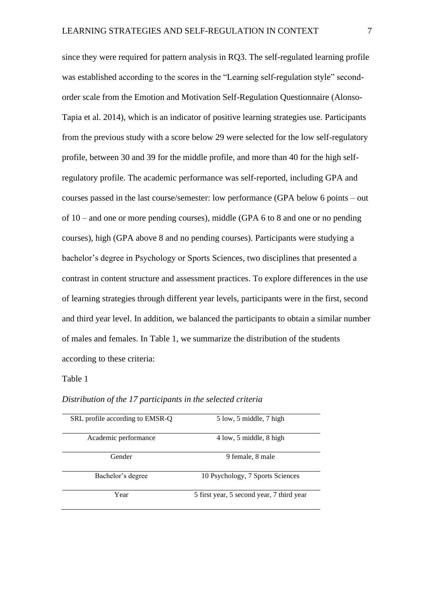since they were required for pattern analysis in RQ3. The self-regulated learning profile was established according to the scores in the "Learning self-regulation style" secondorder scale from the Emotion and Motivation Self-Regulation Questionnaire (Alonso-Tapia et al. 2014), which is an indicator of positive learning strategies use. Participants from the previous study with a score below 29 were selected for the low self-regulatory profile, between 30 and 39 for the middle profile, and more than 40 for the high selfregulatory profile. The academic performance was self-reported, including GPA and courses passed in the last course/semester: low performance (GPA below 6 points – out of 10 – and one or more pending courses), middle (GPA 6 to 8 and one or no pending courses), high (GPA above 8 and no pending courses). Participants were studying a bachelor's degree in Psychology or Sports Sciences, two disciplines that presented a contrast in content structure and assessment practices. To explore differences in the use of learning strategies through different year levels, participants were in the first, second and third year level. In addition, we balanced the participants to obtain a similar number of males and females. In Table 1, we summarize the distribution of the students according to these criteria:

#### Table 1

#### *Distribution of the 17 participants in the selected criteria*

| SRL profile according to EMSR-Q | 5 low, 5 middle, 7 high                   |
|---------------------------------|-------------------------------------------|
| Academic performance            | 4 low, 5 middle, 8 high                   |
| Gender                          | 9 female, 8 male                          |
| Bachelor's degree               | 10 Psychology, 7 Sports Sciences          |
| Year                            | 5 first year, 5 second year, 7 third year |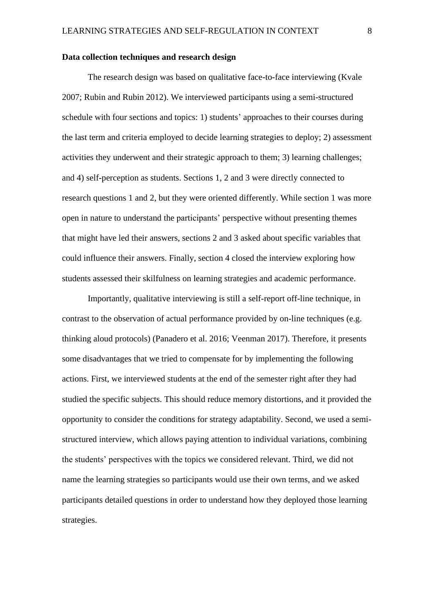## **Data collection techniques and research design**

The research design was based on qualitative face-to-face interviewing (Kvale 2007; Rubin and Rubin 2012). We interviewed participants using a semi-structured schedule with four sections and topics: 1) students' approaches to their courses during the last term and criteria employed to decide learning strategies to deploy; 2) assessment activities they underwent and their strategic approach to them; 3) learning challenges; and 4) self-perception as students. Sections 1, 2 and 3 were directly connected to research questions 1 and 2, but they were oriented differently. While section 1 was more open in nature to understand the participants' perspective without presenting themes that might have led their answers, sections 2 and 3 asked about specific variables that could influence their answers. Finally, section 4 closed the interview exploring how students assessed their skilfulness on learning strategies and academic performance.

Importantly, qualitative interviewing is still a self-report off-line technique, in contrast to the observation of actual performance provided by on-line techniques (e.g. thinking aloud protocols) (Panadero et al. 2016; Veenman 2017). Therefore, it presents some disadvantages that we tried to compensate for by implementing the following actions. First, we interviewed students at the end of the semester right after they had studied the specific subjects. This should reduce memory distortions, and it provided the opportunity to consider the conditions for strategy adaptability. Second, we used a semistructured interview, which allows paying attention to individual variations, combining the students' perspectives with the topics we considered relevant. Third, we did not name the learning strategies so participants would use their own terms, and we asked participants detailed questions in order to understand how they deployed those learning strategies.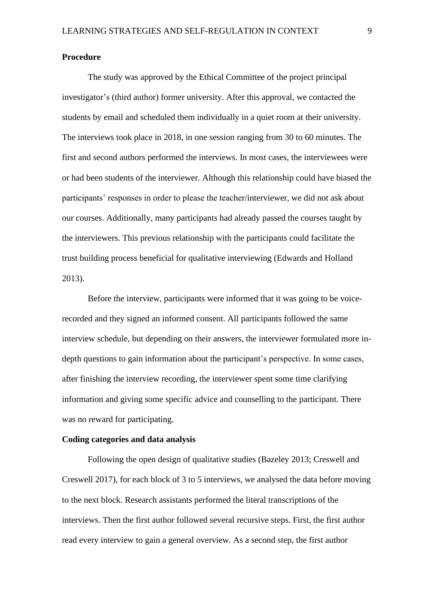#### **Procedure**

The study was approved by the Ethical Committee of the project principal investigator's (third author) former university. After this approval, we contacted the students by email and scheduled them individually in a quiet room at their university. The interviews took place in 2018, in one session ranging from 30 to 60 minutes. The first and second authors performed the interviews. In most cases, the interviewees were or had been students of the interviewer. Although this relationship could have biased the participants' responses in order to please the teacher/interviewer, we did not ask about our courses. Additionally, many participants had already passed the courses taught by the interviewers. This previous relationship with the participants could facilitate the trust building process beneficial for qualitative interviewing (Edwards and Holland 2013).

Before the interview, participants were informed that it was going to be voicerecorded and they signed an informed consent. All participants followed the same interview schedule, but depending on their answers, the interviewer formulated more indepth questions to gain information about the participant's perspective. In some cases, after finishing the interview recording, the interviewer spent some time clarifying information and giving some specific advice and counselling to the participant. There was no reward for participating.

### **Coding categories and data analysis**

Following the open design of qualitative studies (Bazeley 2013; Creswell and Creswell 2017), for each block of 3 to 5 interviews, we analysed the data before moving to the next block. Research assistants performed the literal transcriptions of the interviews. Then the first author followed several recursive steps. First, the first author read every interview to gain a general overview. As a second step, the first author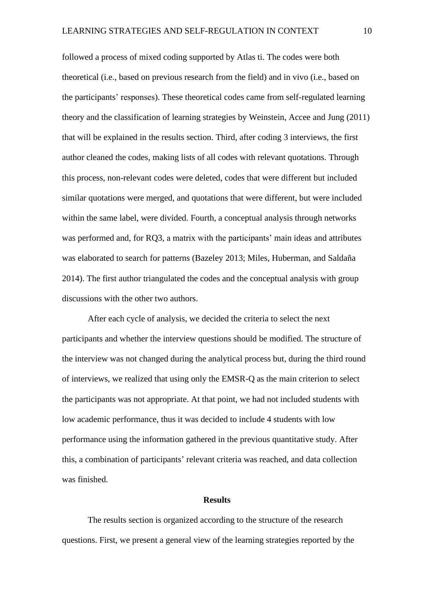followed a process of mixed coding supported by Atlas ti. The codes were both theoretical (i.e., based on previous research from the field) and in vivo (i.e., based on the participants' responses). These theoretical codes came from self-regulated learning theory and the classification of learning strategies by Weinstein, Accee and Jung (2011) that will be explained in the results section. Third, after coding 3 interviews, the first author cleaned the codes, making lists of all codes with relevant quotations. Through this process, non-relevant codes were deleted, codes that were different but included similar quotations were merged, and quotations that were different, but were included within the same label, were divided. Fourth, a conceptual analysis through networks was performed and, for RQ3, a matrix with the participants' main ideas and attributes was elaborated to search for patterns (Bazeley 2013; Miles, Huberman, and Saldaña 2014). The first author triangulated the codes and the conceptual analysis with group discussions with the other two authors.

After each cycle of analysis, we decided the criteria to select the next participants and whether the interview questions should be modified. The structure of the interview was not changed during the analytical process but, during the third round of interviews, we realized that using only the EMSR-Q as the main criterion to select the participants was not appropriate. At that point, we had not included students with low academic performance, thus it was decided to include 4 students with low performance using the information gathered in the previous quantitative study. After this, a combination of participants' relevant criteria was reached, and data collection was finished.

#### **Results**

The results section is organized according to the structure of the research questions. First, we present a general view of the learning strategies reported by the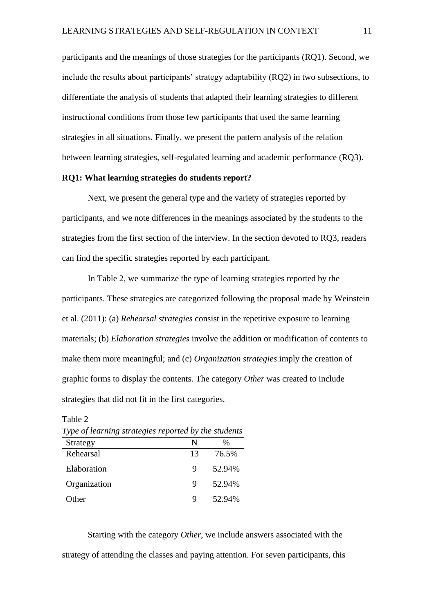participants and the meanings of those strategies for the participants (RQ1). Second, we include the results about participants' strategy adaptability (RQ2) in two subsections, to differentiate the analysis of students that adapted their learning strategies to different instructional conditions from those few participants that used the same learning strategies in all situations. Finally, we present the pattern analysis of the relation between learning strategies, self-regulated learning and academic performance (RQ3).

#### **RQ1: What learning strategies do students report?**

Next, we present the general type and the variety of strategies reported by participants, and we note differences in the meanings associated by the students to the strategies from the first section of the interview. In the section devoted to RQ3, readers can find the specific strategies reported by each participant.

In Table 2, we summarize the type of learning strategies reported by the participants. These strategies are categorized following the proposal made by Weinstein et al. (2011): (a) *Rehearsal strategies* consist in the repetitive exposure to learning materials; (b) *Elaboration strategies* involve the addition or modification of contents to make them more meaningful; and (c) *Organization strategies* imply the creation of graphic forms to display the contents. The category *Other* was created to include strategies that did not fit in the first categories.

| Type of learning strategies reported by the students |        |  |
|------------------------------------------------------|--------|--|
| N                                                    | %      |  |
| 13                                                   | 76.5%  |  |
| 9                                                    | 52.94% |  |
| 9                                                    | 52.94% |  |
| Q                                                    | 52.94% |  |
|                                                      |        |  |

Table 2

Starting with the category *Other*, we include answers associated with the strategy of attending the classes and paying attention. For seven participants, this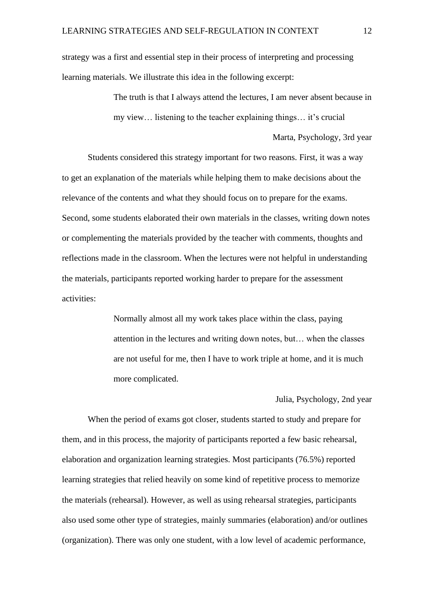strategy was a first and essential step in their process of interpreting and processing learning materials. We illustrate this idea in the following excerpt:

> The truth is that I always attend the lectures, I am never absent because in my view… listening to the teacher explaining things… it's crucial

> > Marta, Psychology, 3rd year

Students considered this strategy important for two reasons. First, it was a way to get an explanation of the materials while helping them to make decisions about the relevance of the contents and what they should focus on to prepare for the exams. Second, some students elaborated their own materials in the classes, writing down notes or complementing the materials provided by the teacher with comments, thoughts and reflections made in the classroom. When the lectures were not helpful in understanding the materials, participants reported working harder to prepare for the assessment activities:

> Normally almost all my work takes place within the class, paying attention in the lectures and writing down notes, but… when the classes are not useful for me, then I have to work triple at home, and it is much more complicated.

#### Julia, Psychology, 2nd year

When the period of exams got closer, students started to study and prepare for them, and in this process, the majority of participants reported a few basic rehearsal, elaboration and organization learning strategies. Most participants (76.5%) reported learning strategies that relied heavily on some kind of repetitive process to memorize the materials (rehearsal). However, as well as using rehearsal strategies, participants also used some other type of strategies, mainly summaries (elaboration) and/or outlines (organization). There was only one student, with a low level of academic performance,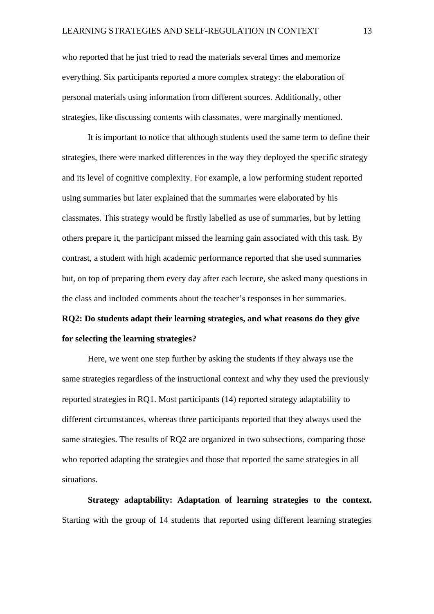who reported that he just tried to read the materials several times and memorize everything. Six participants reported a more complex strategy: the elaboration of personal materials using information from different sources. Additionally, other strategies, like discussing contents with classmates, were marginally mentioned.

It is important to notice that although students used the same term to define their strategies, there were marked differences in the way they deployed the specific strategy and its level of cognitive complexity. For example, a low performing student reported using summaries but later explained that the summaries were elaborated by his classmates. This strategy would be firstly labelled as use of summaries, but by letting others prepare it, the participant missed the learning gain associated with this task. By contrast, a student with high academic performance reported that she used summaries but, on top of preparing them every day after each lecture, she asked many questions in the class and included comments about the teacher's responses in her summaries.

# **RQ2: Do students adapt their learning strategies, and what reasons do they give for selecting the learning strategies?**

Here, we went one step further by asking the students if they always use the same strategies regardless of the instructional context and why they used the previously reported strategies in RQ1. Most participants (14) reported strategy adaptability to different circumstances, whereas three participants reported that they always used the same strategies. The results of RQ2 are organized in two subsections, comparing those who reported adapting the strategies and those that reported the same strategies in all situations.

**Strategy adaptability: Adaptation of learning strategies to the context.** Starting with the group of 14 students that reported using different learning strategies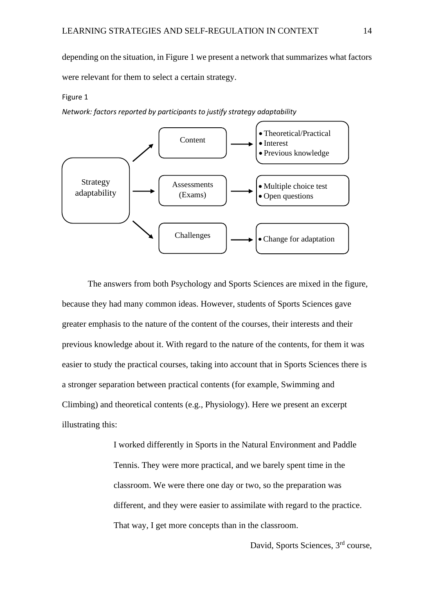depending on the situation, in Figure 1 we present a network that summarizes what factors were relevant for them to select a certain strategy.

#### Figure 1

*Network: factors reported by participants to justify strategy adaptability*



The answers from both Psychology and Sports Sciences are mixed in the figure, because they had many common ideas. However, students of Sports Sciences gave greater emphasis to the nature of the content of the courses, their interests and their previous knowledge about it. With regard to the nature of the contents, for them it was easier to study the practical courses, taking into account that in Sports Sciences there is a stronger separation between practical contents (for example, Swimming and Climbing) and theoretical contents (e.g., Physiology). Here we present an excerpt illustrating this:

> I worked differently in Sports in the Natural Environment and Paddle Tennis. They were more practical, and we barely spent time in the classroom. We were there one day or two, so the preparation was different, and they were easier to assimilate with regard to the practice. That way, I get more concepts than in the classroom.

> > David, Sports Sciences, 3rd course,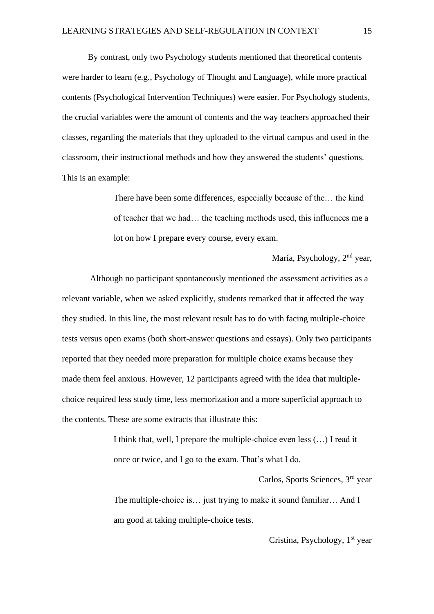By contrast, only two Psychology students mentioned that theoretical contents were harder to learn (e.g., Psychology of Thought and Language), while more practical contents (Psychological Intervention Techniques) were easier. For Psychology students, the crucial variables were the amount of contents and the way teachers approached their classes, regarding the materials that they uploaded to the virtual campus and used in the classroom, their instructional methods and how they answered the students' questions. This is an example:

> There have been some differences, especially because of the… the kind of teacher that we had… the teaching methods used, this influences me a lot on how I prepare every course, every exam.

> > María, Psychology, 2nd year,

Although no participant spontaneously mentioned the assessment activities as a relevant variable, when we asked explicitly, students remarked that it affected the way they studied. In this line, the most relevant result has to do with facing multiple-choice tests versus open exams (both short-answer questions and essays). Only two participants reported that they needed more preparation for multiple choice exams because they made them feel anxious. However, 12 participants agreed with the idea that multiplechoice required less study time, less memorization and a more superficial approach to the contents. These are some extracts that illustrate this:

> I think that, well, I prepare the multiple-choice even less (…) I read it once or twice, and I go to the exam. That's what I do.

> > Carlos, Sports Sciences, 3rd year

The multiple-choice is... just trying to make it sound familiar... And I am good at taking multiple-choice tests.

Cristina, Psychology,  $1<sup>st</sup>$  year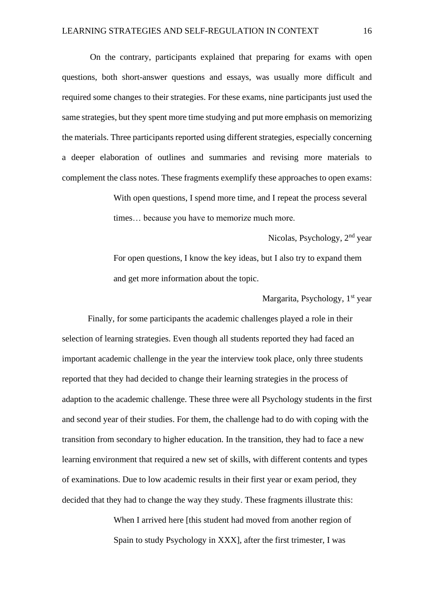On the contrary, participants explained that preparing for exams with open questions, both short-answer questions and essays, was usually more difficult and required some changes to their strategies. For these exams, nine participants just used the same strategies, but they spent more time studying and put more emphasis on memorizing the materials. Three participants reported using different strategies, especially concerning a deeper elaboration of outlines and summaries and revising more materials to complement the class notes. These fragments exemplify these approaches to open exams:

> With open questions, I spend more time, and I repeat the process several times… because you have to memorize much more.

Nicolas, Psychology, 2nd year For open questions, I know the key ideas, but I also try to expand them and get more information about the topic.

#### Margarita, Psychology, 1<sup>st</sup> year

Finally, for some participants the academic challenges played a role in their selection of learning strategies. Even though all students reported they had faced an important academic challenge in the year the interview took place, only three students reported that they had decided to change their learning strategies in the process of adaption to the academic challenge. These three were all Psychology students in the first and second year of their studies. For them, the challenge had to do with coping with the transition from secondary to higher education. In the transition, they had to face a new learning environment that required a new set of skills, with different contents and types of examinations. Due to low academic results in their first year or exam period, they decided that they had to change the way they study. These fragments illustrate this:

> When I arrived here [this student had moved from another region of Spain to study Psychology in XXX], after the first trimester, I was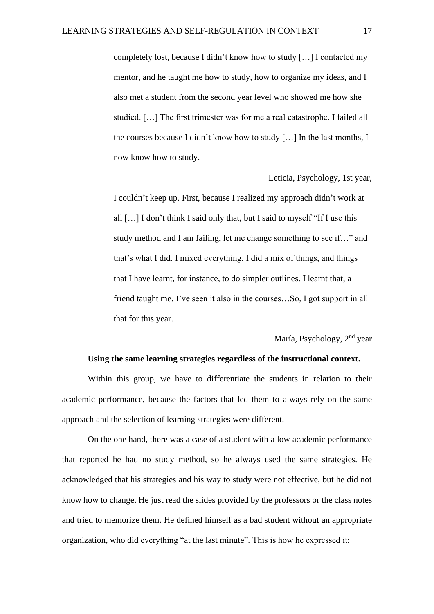completely lost, because I didn't know how to study […] I contacted my mentor, and he taught me how to study, how to organize my ideas, and I also met a student from the second year level who showed me how she studied. […] The first trimester was for me a real catastrophe. I failed all the courses because I didn't know how to study […] In the last months, I now know how to study.

Leticia, Psychology, 1st year,

I couldn't keep up. First, because I realized my approach didn't work at all […] I don't think I said only that, but I said to myself "If I use this study method and I am failing, let me change something to see if…" and that's what I did. I mixed everything, I did a mix of things, and things that I have learnt, for instance, to do simpler outlines. I learnt that, a friend taught me. I've seen it also in the courses…So, I got support in all that for this year.

María, Psychology, 2<sup>nd</sup> year

#### **Using the same learning strategies regardless of the instructional context.**

Within this group, we have to differentiate the students in relation to their academic performance, because the factors that led them to always rely on the same approach and the selection of learning strategies were different.

On the one hand, there was a case of a student with a low academic performance that reported he had no study method, so he always used the same strategies. He acknowledged that his strategies and his way to study were not effective, but he did not know how to change. He just read the slides provided by the professors or the class notes and tried to memorize them. He defined himself as a bad student without an appropriate organization, who did everything "at the last minute". This is how he expressed it: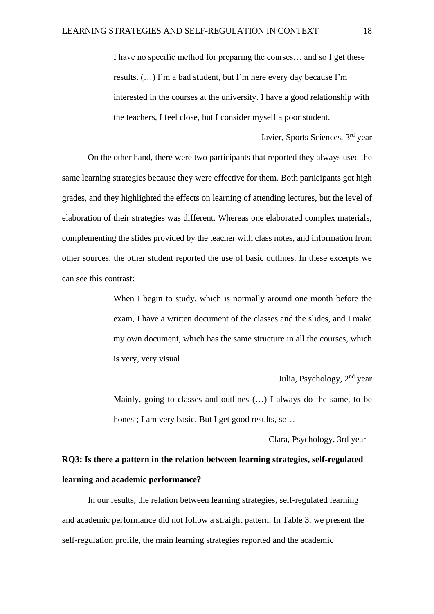I have no specific method for preparing the courses… and so I get these results. (…) I'm a bad student, but I'm here every day because I'm interested in the courses at the university. I have a good relationship with the teachers, I feel close, but I consider myself a poor student.

On the other hand, there were two participants that reported they always used the same learning strategies because they were effective for them. Both participants got high grades, and they highlighted the effects on learning of attending lectures, but the level of elaboration of their strategies was different. Whereas one elaborated complex materials, complementing the slides provided by the teacher with class notes, and information from other sources, the other student reported the use of basic outlines. In these excerpts we can see this contrast:

> When I begin to study, which is normally around one month before the exam, I have a written document of the classes and the slides, and I make my own document, which has the same structure in all the courses, which is very, very visual

> > Julia, Psychology, 2nd year

Javier, Sports Sciences, 3rd year

Mainly, going to classes and outlines (…) I always do the same, to be honest; I am very basic. But I get good results, so...

Clara, Psychology, 3rd year

# **RQ3: Is there a pattern in the relation between learning strategies, self-regulated learning and academic performance?**

In our results, the relation between learning strategies, self-regulated learning and academic performance did not follow a straight pattern. In Table 3, we present the self-regulation profile, the main learning strategies reported and the academic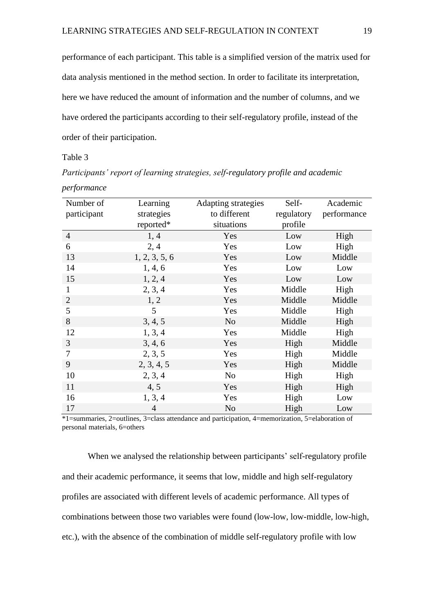performance of each participant. This table is a simplified version of the matrix used for data analysis mentioned in the method section. In order to facilitate its interpretation, here we have reduced the amount of information and the number of columns, and we have ordered the participants according to their self-regulatory profile, instead of the order of their participation.

Table 3

Number of participant Learning strategies reported\* Adapting strategies to different situations Selfregulatory profile Academic performance 4 1, 4 Yes Low High 6 2, 4 Yes Low High 13 1, 2, 3, 5, 6 Yes Low Middle 14 1, 4, 6 Yes Low Low 15 1, 2, 4 Yes Low Low 1 2, 3, 4 Yes Middle High 2 1, 2 Yes Middle Middle 5 5 5 Niddle High 8 3, 4, 5 No Middle High 12 1, 3, 4 Yes Middle High 3 3, 4, 6 Yes High Middle 7 2, 3, 5 Yes High Middle 9 2, 3, 4, 5 Yes High Middle 10 2, 3, 4 No High High 11 4, 5 Yes High High 16 1, 3, 4 Yes High Low 17 4 No High Low

*Participants' report of learning strategies, self-regulatory profile and academic performance*

\*1=summaries, 2=outlines, 3=class attendance and participation, 4=memorization, 5=elaboration of personal materials, 6=others

When we analysed the relationship between participants' self-regulatory profile and their academic performance, it seems that low, middle and high self-regulatory profiles are associated with different levels of academic performance. All types of combinations between those two variables were found (low-low, low-middle, low-high, etc.), with the absence of the combination of middle self-regulatory profile with low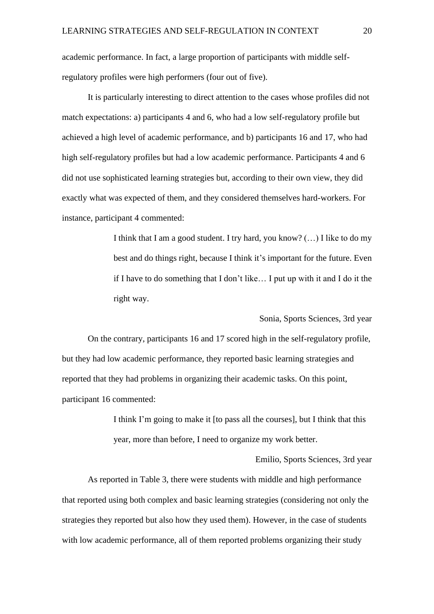academic performance. In fact, a large proportion of participants with middle selfregulatory profiles were high performers (four out of five).

It is particularly interesting to direct attention to the cases whose profiles did not match expectations: a) participants 4 and 6, who had a low self-regulatory profile but achieved a high level of academic performance, and b) participants 16 and 17, who had high self-regulatory profiles but had a low academic performance. Participants 4 and 6 did not use sophisticated learning strategies but, according to their own view, they did exactly what was expected of them, and they considered themselves hard-workers. For instance, participant 4 commented:

> I think that I am a good student. I try hard, you know? (…) I like to do my best and do things right, because I think it's important for the future. Even if I have to do something that I don't like… I put up with it and I do it the right way.

> > Sonia, Sports Sciences, 3rd year

On the contrary, participants 16 and 17 scored high in the self-regulatory profile, but they had low academic performance, they reported basic learning strategies and reported that they had problems in organizing their academic tasks. On this point, participant 16 commented:

> I think I'm going to make it [to pass all the courses], but I think that this year, more than before, I need to organize my work better.

> > Emilio, Sports Sciences, 3rd year

As reported in Table 3, there were students with middle and high performance that reported using both complex and basic learning strategies (considering not only the strategies they reported but also how they used them). However, in the case of students with low academic performance, all of them reported problems organizing their study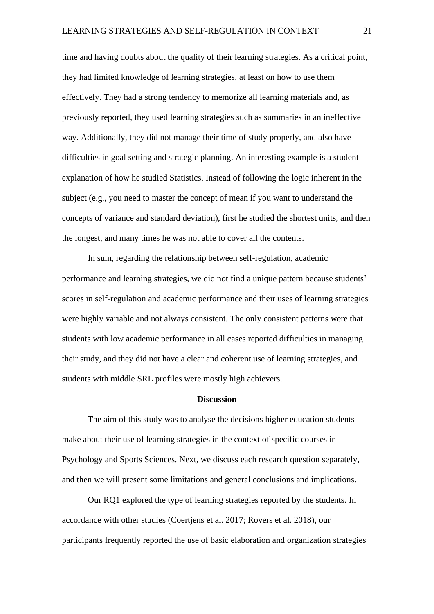time and having doubts about the quality of their learning strategies. As a critical point, they had limited knowledge of learning strategies, at least on how to use them effectively. They had a strong tendency to memorize all learning materials and, as previously reported, they used learning strategies such as summaries in an ineffective way. Additionally, they did not manage their time of study properly, and also have difficulties in goal setting and strategic planning. An interesting example is a student explanation of how he studied Statistics. Instead of following the logic inherent in the subject (e.g., you need to master the concept of mean if you want to understand the concepts of variance and standard deviation), first he studied the shortest units, and then the longest, and many times he was not able to cover all the contents.

In sum, regarding the relationship between self-regulation, academic performance and learning strategies, we did not find a unique pattern because students' scores in self-regulation and academic performance and their uses of learning strategies were highly variable and not always consistent. The only consistent patterns were that students with low academic performance in all cases reported difficulties in managing their study, and they did not have a clear and coherent use of learning strategies, and students with middle SRL profiles were mostly high achievers.

#### **Discussion**

The aim of this study was to analyse the decisions higher education students make about their use of learning strategies in the context of specific courses in Psychology and Sports Sciences. Next, we discuss each research question separately, and then we will present some limitations and general conclusions and implications.

Our RQ1 explored the type of learning strategies reported by the students. In accordance with other studies (Coertjens et al. 2017; Rovers et al. 2018), our participants frequently reported the use of basic elaboration and organization strategies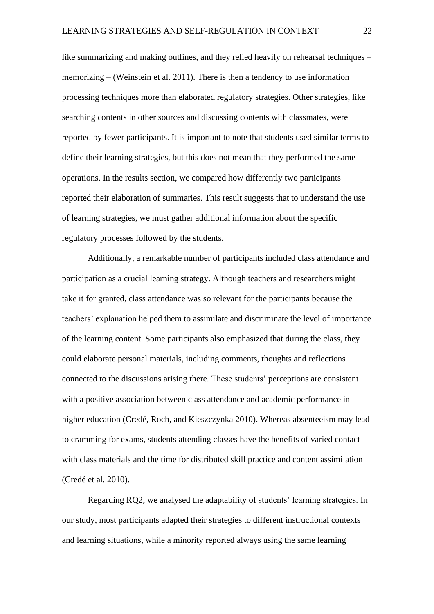like summarizing and making outlines, and they relied heavily on rehearsal techniques – memorizing – (Weinstein et al. 2011). There is then a tendency to use information processing techniques more than elaborated regulatory strategies. Other strategies, like searching contents in other sources and discussing contents with classmates, were reported by fewer participants. It is important to note that students used similar terms to define their learning strategies, but this does not mean that they performed the same operations. In the results section, we compared how differently two participants reported their elaboration of summaries. This result suggests that to understand the use of learning strategies, we must gather additional information about the specific regulatory processes followed by the students.

Additionally, a remarkable number of participants included class attendance and participation as a crucial learning strategy. Although teachers and researchers might take it for granted, class attendance was so relevant for the participants because the teachers' explanation helped them to assimilate and discriminate the level of importance of the learning content. Some participants also emphasized that during the class, they could elaborate personal materials, including comments, thoughts and reflections connected to the discussions arising there. These students' perceptions are consistent with a positive association between class attendance and academic performance in higher education (Credé, Roch, and Kieszczynka 2010). Whereas absenteeism may lead to cramming for exams, students attending classes have the benefits of varied contact with class materials and the time for distributed skill practice and content assimilation (Credé et al. 2010).

Regarding RQ2, we analysed the adaptability of students' learning strategies. In our study, most participants adapted their strategies to different instructional contexts and learning situations, while a minority reported always using the same learning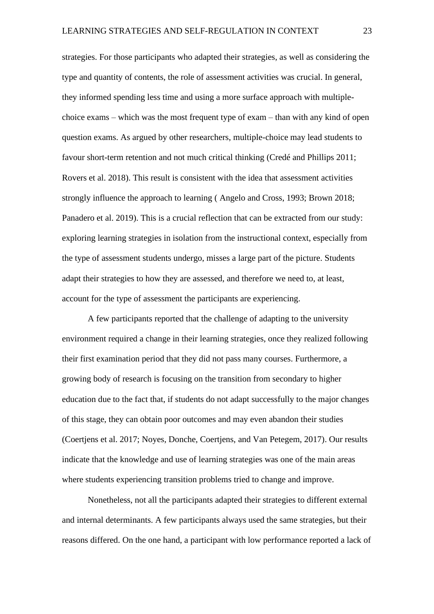strategies. For those participants who adapted their strategies, as well as considering the type and quantity of contents, the role of assessment activities was crucial. In general, they informed spending less time and using a more surface approach with multiplechoice exams – which was the most frequent type of exam – than with any kind of open question exams. As argued by other researchers, multiple-choice may lead students to favour short-term retention and not much critical thinking (Credé and Phillips 2011; Rovers et al. 2018). This result is consistent with the idea that assessment activities strongly influence the approach to learning ( Angelo and Cross, 1993; Brown 2018; Panadero et al. 2019). This is a crucial reflection that can be extracted from our study: exploring learning strategies in isolation from the instructional context, especially from the type of assessment students undergo, misses a large part of the picture. Students adapt their strategies to how they are assessed, and therefore we need to, at least, account for the type of assessment the participants are experiencing.

A few participants reported that the challenge of adapting to the university environment required a change in their learning strategies, once they realized following their first examination period that they did not pass many courses. Furthermore, a growing body of research is focusing on the transition from secondary to higher education due to the fact that, if students do not adapt successfully to the major changes of this stage, they can obtain poor outcomes and may even abandon their studies (Coertjens et al. 2017; Noyes, Donche, Coertjens, and Van Petegem, 2017). Our results indicate that the knowledge and use of learning strategies was one of the main areas where students experiencing transition problems tried to change and improve.

Nonetheless, not all the participants adapted their strategies to different external and internal determinants. A few participants always used the same strategies, but their reasons differed. On the one hand, a participant with low performance reported a lack of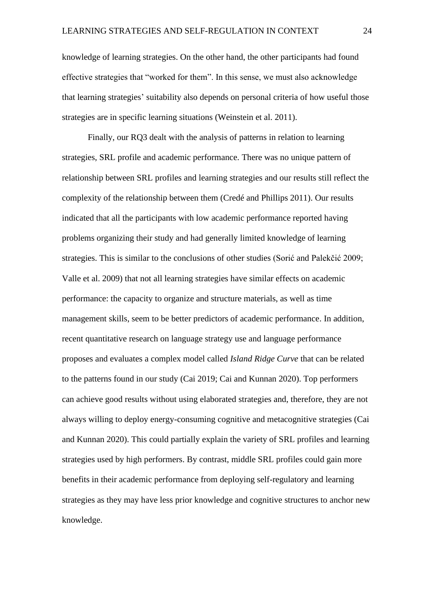knowledge of learning strategies. On the other hand, the other participants had found effective strategies that "worked for them". In this sense, we must also acknowledge that learning strategies' suitability also depends on personal criteria of how useful those strategies are in specific learning situations (Weinstein et al. 2011).

Finally, our RQ3 dealt with the analysis of patterns in relation to learning strategies, SRL profile and academic performance. There was no unique pattern of relationship between SRL profiles and learning strategies and our results still reflect the complexity of the relationship between them (Credé and Phillips 2011). Our results indicated that all the participants with low academic performance reported having problems organizing their study and had generally limited knowledge of learning strategies. This is similar to the conclusions of other studies (Sorić and Palekčić 2009; Valle et al. 2009) that not all learning strategies have similar effects on academic performance: the capacity to organize and structure materials, as well as time management skills, seem to be better predictors of academic performance. In addition, recent quantitative research on language strategy use and language performance proposes and evaluates a complex model called *Island Ridge Curve* that can be related to the patterns found in our study (Cai 2019; Cai and Kunnan 2020). Top performers can achieve good results without using elaborated strategies and, therefore, they are not always willing to deploy energy-consuming cognitive and metacognitive strategies (Cai and Kunnan 2020). This could partially explain the variety of SRL profiles and learning strategies used by high performers. By contrast, middle SRL profiles could gain more benefits in their academic performance from deploying self-regulatory and learning strategies as they may have less prior knowledge and cognitive structures to anchor new knowledge.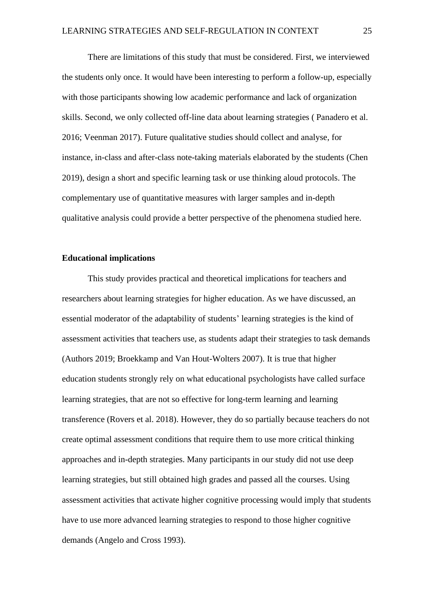There are limitations of this study that must be considered. First, we interviewed the students only once. It would have been interesting to perform a follow-up, especially with those participants showing low academic performance and lack of organization skills. Second, we only collected off-line data about learning strategies ( Panadero et al. 2016; Veenman 2017). Future qualitative studies should collect and analyse, for instance, in-class and after-class note-taking materials elaborated by the students (Chen 2019), design a short and specific learning task or use thinking aloud protocols. The complementary use of quantitative measures with larger samples and in-depth qualitative analysis could provide a better perspective of the phenomena studied here.

#### **Educational implications**

This study provides practical and theoretical implications for teachers and researchers about learning strategies for higher education. As we have discussed, an essential moderator of the adaptability of students' learning strategies is the kind of assessment activities that teachers use, as students adapt their strategies to task demands (Authors 2019; Broekkamp and Van Hout-Wolters 2007). It is true that higher education students strongly rely on what educational psychologists have called surface learning strategies, that are not so effective for long-term learning and learning transference (Rovers et al. 2018). However, they do so partially because teachers do not create optimal assessment conditions that require them to use more critical thinking approaches and in-depth strategies. Many participants in our study did not use deep learning strategies, but still obtained high grades and passed all the courses. Using assessment activities that activate higher cognitive processing would imply that students have to use more advanced learning strategies to respond to those higher cognitive demands (Angelo and Cross 1993).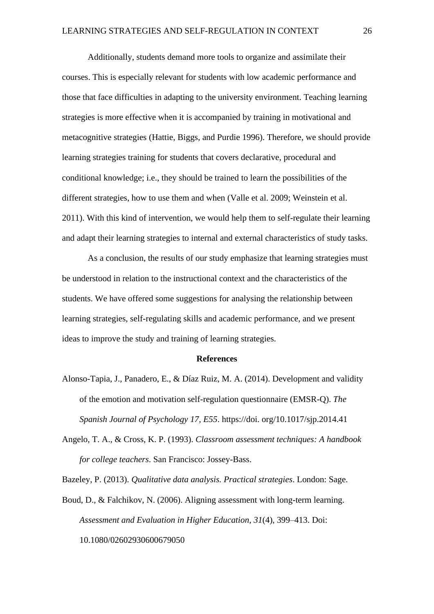Additionally, students demand more tools to organize and assimilate their courses. This is especially relevant for students with low academic performance and those that face difficulties in adapting to the university environment. Teaching learning strategies is more effective when it is accompanied by training in motivational and metacognitive strategies (Hattie, Biggs, and Purdie 1996). Therefore, we should provide learning strategies training for students that covers declarative, procedural and conditional knowledge; i.e., they should be trained to learn the possibilities of the different strategies, how to use them and when (Valle et al. 2009; Weinstein et al. 2011). With this kind of intervention, we would help them to self-regulate their learning and adapt their learning strategies to internal and external characteristics of study tasks.

As a conclusion, the results of our study emphasize that learning strategies must be understood in relation to the instructional context and the characteristics of the students. We have offered some suggestions for analysing the relationship between learning strategies, self-regulating skills and academic performance, and we present ideas to improve the study and training of learning strategies.

### **References**

- Alonso-Tapia, J., Panadero, E., & Díaz Ruiz, M. A. (2014). Development and validity of the emotion and motivation self-regulation questionnaire (EMSR-Q). *The Spanish Journal of Psychology 17, E55*. https://doi. org/10.1017/sjp.2014.41
- Angelo, T. A., & Cross, K. P. (1993). *Classroom assessment techniques: A handbook for college teachers*. San Francisco: Jossey-Bass.

Bazeley, P. (2013). *Qualitative data analysis. Practical strategies*. London: Sage.

Boud, D., & Falchikov, N. (2006). Aligning assessment with long-term learning. *Assessment and Evaluation in Higher Education*, *31*(4), 399–413. Doi: 10.1080/02602930600679050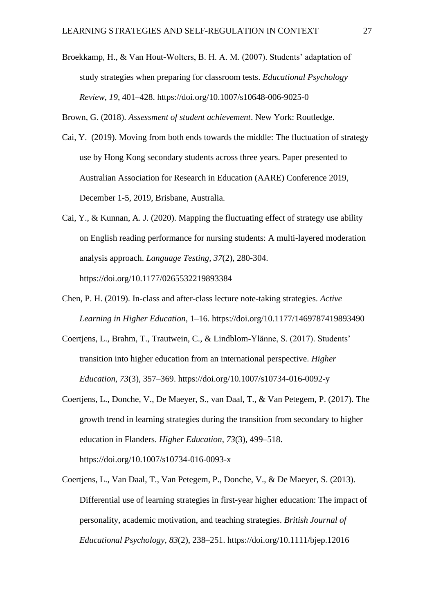Broekkamp, H., & Van Hout-Wolters, B. H. A. M. (2007). Students' adaptation of study strategies when preparing for classroom tests. *Educational Psychology Review*, *19*, 401–428. https://doi.org/10.1007/s10648-006-9025-0

Brown, G. (2018). *Assessment of student achievement*. New York: Routledge.

- Cai, Y. (2019). Moving from both ends towards the middle: The fluctuation of strategy use by Hong Kong secondary students across three years. Paper presented to Australian Association for Research in Education (AARE) Conference 2019, December 1-5, 2019, Brisbane, Australia.
- Cai, Y., & Kunnan, A. J. (2020). Mapping the fluctuating effect of strategy use ability on English reading performance for nursing students: A multi-layered moderation analysis approach. *Language Testing, 37*(2), 280-304. https://doi.org/10.1177/0265532219893384
- Chen, P. H. (2019). In-class and after-class lecture note-taking strategies. *Active Learning in Higher Education*, 1–16. https://doi.org/10.1177/1469787419893490
- Coertjens, L., Brahm, T., Trautwein, C., & Lindblom-Ylänne, S. (2017). Students' transition into higher education from an international perspective. *Higher Education*, *73*(3), 357–369. https://doi.org/10.1007/s10734-016-0092-y
- Coertjens, L., Donche, V., De Maeyer, S., van Daal, T., & Van Petegem, P. (2017). The growth trend in learning strategies during the transition from secondary to higher education in Flanders. *Higher Education*, *73*(3), 499–518. https://doi.org/10.1007/s10734-016-0093-x
- Coertjens, L., Van Daal, T., Van Petegem, P., Donche, V., & De Maeyer, S. (2013). Differential use of learning strategies in first-year higher education: The impact of personality, academic motivation, and teaching strategies. *British Journal of Educational Psychology*, *83*(2), 238–251. https://doi.org/10.1111/bjep.12016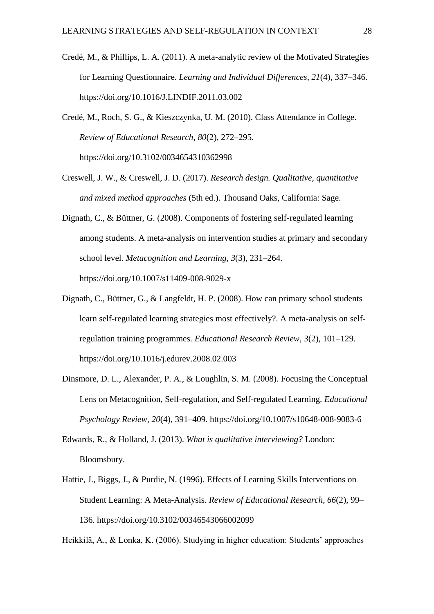- Credé, M., & Phillips, L. A. (2011). A meta-analytic review of the Motivated Strategies for Learning Questionnaire. *Learning and Individual Differences*, *21*(4), 337–346. https://doi.org/10.1016/J.LINDIF.2011.03.002
- Credé, M., Roch, S. G., & Kieszczynka, U. M. (2010). Class Attendance in College. *Review of Educational Research*, *80*(2), 272–295. https://doi.org/10.3102/0034654310362998
- Creswell, J. W., & Creswell, J. D. (2017). *Research design. Qualitative, quantitative and mixed method approaches* (5th ed.). Thousand Oaks, California: Sage.
- Dignath, C., & Büttner, G. (2008). Components of fostering self-regulated learning among students. A meta-analysis on intervention studies at primary and secondary school level. *Metacognition and Learning*, *3*(3), 231–264. https://doi.org/10.1007/s11409-008-9029-x
- Dignath, C., Büttner, G., & Langfeldt, H. P. (2008). How can primary school students learn self-regulated learning strategies most effectively?. A meta-analysis on selfregulation training programmes. *Educational Research Review*, *3*(2), 101–129. https://doi.org/10.1016/j.edurev.2008.02.003
- Dinsmore, D. L., Alexander, P. A., & Loughlin, S. M. (2008). Focusing the Conceptual Lens on Metacognition, Self-regulation, and Self-regulated Learning. *Educational Psychology Review*, *20*(4), 391–409. https://doi.org/10.1007/s10648-008-9083-6
- Edwards, R., & Holland, J. (2013). *What is qualitative interviewing?* London: Bloomsbury.
- Hattie, J., Biggs, J., & Purdie, N. (1996). Effects of Learning Skills Interventions on Student Learning: A Meta-Analysis. *Review of Educational Research*, *66*(2), 99– 136. https://doi.org/10.3102/00346543066002099

Heikkilä, A., & Lonka, K. (2006). Studying in higher education: Students' approaches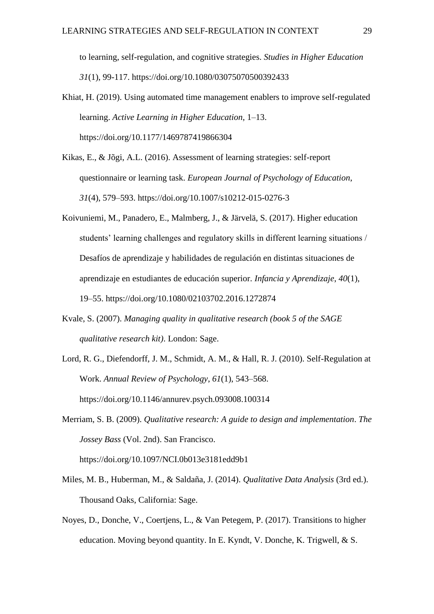to learning, self-regulation, and cognitive strategies. *Studies in Higher Education 31*(1), 99-117. https://doi.org/10.1080/03075070500392433

- Khiat, H. (2019). Using automated time management enablers to improve self-regulated learning. *Active Learning in Higher Education*, 1–13. https://doi.org/10.1177/1469787419866304
- Kikas, E., & Jõgi, A.L. (2016). Assessment of learning strategies: self-report questionnaire or learning task. *European Journal of Psychology of Education*, *31*(4), 579–593. https://doi.org/10.1007/s10212-015-0276-3
- Koivuniemi, M., Panadero, E., Malmberg, J., & Järvelä, S. (2017). Higher education students' learning challenges and regulatory skills in different learning situations / Desafíos de aprendizaje y habilidades de regulación en distintas situaciones de aprendizaje en estudiantes de educación superior. *Infancia y Aprendizaje*, *40*(1), 19–55. https://doi.org/10.1080/02103702.2016.1272874
- Kvale, S. (2007). *Managing quality in qualitative research (book 5 of the SAGE qualitative research kit)*. London: Sage.
- Lord, R. G., Diefendorff, J. M., Schmidt, A. M., & Hall, R. J. (2010). Self-Regulation at Work. *Annual Review of Psychology*, *61*(1), 543–568. https://doi.org/10.1146/annurev.psych.093008.100314
- Merriam, S. B. (2009). *Qualitative research: A guide to design and implementation*. *The Jossey Bass* (Vol. 2nd). San Francisco.

https://doi.org/10.1097/NCI.0b013e3181edd9b1

- Miles, M. B., Huberman, M., & Saldaña, J. (2014). *Qualitative Data Analysis* (3rd ed.). Thousand Oaks, California: Sage.
- Noyes, D., Donche, V., Coertjens, L., & Van Petegem, P. (2017). Transitions to higher education. Moving beyond quantity. In E. Kyndt, V. Donche, K. Trigwell, & S.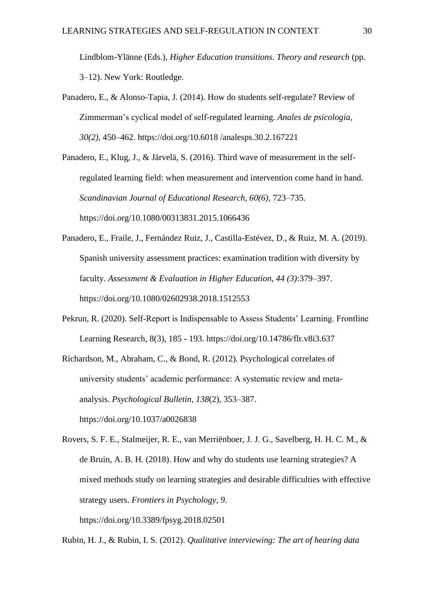Lindblom-Ylänne (Eds.), *Higher Education transitions. Theory and research* (pp. 3–12). New York: Routledge.

Panadero, E., & Alonso-Tapia, J. (2014). How do students self-regulate? Review of Zimmerman's cyclical model of self-regulated learning. *Anales de psicologia, 30(2)*, 450–462. https://doi.org/10.6018 /analesps.30.2.167221

Panadero, E., Klug, J., & Järvelä, S. (2016). Third wave of measurement in the selfregulated learning field: when measurement and intervention come hand in hand. *Scandinavian Journal of Educational Research, 60(6)*, 723–735. https://doi.org/10.1080/00313831.2015.1066436

- Panadero, E., Fraile, J., Fernández Ruiz, J., Castilla-Estévez, D., & Ruiz, M. A. (2019). Spanish university assessment practices: examination tradition with diversity by faculty. *Assessment & Evaluation in Higher Education, 44 (3)*:379–397. https://doi.org/10.1080/02602938.2018.1512553
- Pekrun, R. (2020). Self-Report is Indispensable to Assess Students' Learning. Frontline Learning Research, 8(3), 185 - 193. https://doi.org/10.14786/flr.v8i3.637

Richardson, M., Abraham, C., & Bond, R. (2012). Psychological correlates of university students' academic performance: A systematic review and metaanalysis. *Psychological Bulletin*, *138*(2), 353–387. https://doi.org/10.1037/a0026838

Rovers, S. F. E., Stalmeijer, R. E., van Merriënboer, J. J. G., Savelberg, H. H. C. M., & de Bruin, A. B. H. (2018). How and why do students use learning strategies? A mixed methods study on learning strategies and desirable difficulties with effective strategy users. *Frontiers in Psychology*, *9*. https://doi.org/10.3389/fpsyg.2018.02501

Rubin, H. J., & Rubin, I. S. (2012). *Qualitative interviewing: The art of hearing data*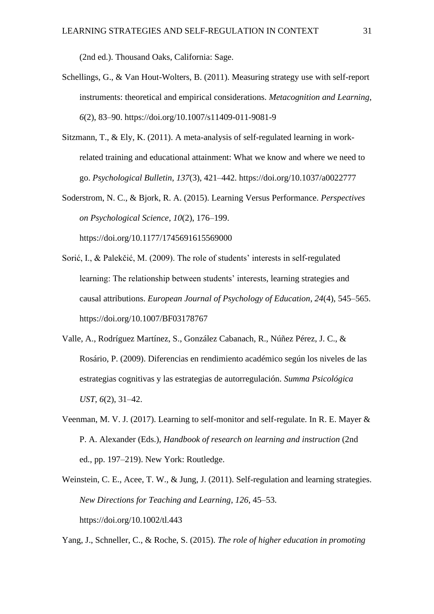(2nd ed.). Thousand Oaks, California: Sage.

- Schellings, G., & Van Hout-Wolters, B. (2011). Measuring strategy use with self-report instruments: theoretical and empirical considerations. *Metacognition and Learning*, *6*(2), 83–90. https://doi.org/10.1007/s11409-011-9081-9
- Sitzmann, T., & Ely, K. (2011). A meta-analysis of self-regulated learning in workrelated training and educational attainment: What we know and where we need to go. *Psychological Bulletin*, *137*(3), 421–442. https://doi.org/10.1037/a0022777
- Soderstrom, N. C., & Bjork, R. A. (2015). Learning Versus Performance. *Perspectives on Psychological Science*, *10*(2), 176–199.

https://doi.org/10.1177/1745691615569000

- Sorić, I., & Palekčić, M. (2009). The role of students' interests in self-regulated learning: The relationship between students' interests, learning strategies and causal attributions. *European Journal of Psychology of Education*, *24*(4), 545–565. https://doi.org/10.1007/BF03178767
- Valle, A., Rodríguez Martínez, S., González Cabanach, R., Núñez Pérez, J. C., & Rosário, P. (2009). Diferencias en rendimiento académico según los niveles de las estrategias cognitivas y las estrategias de autorregulación. *Summa Psicológica UST*, *6*(2), 31–42.
- Veenman, M. V. J. (2017). Learning to self-monitor and self-regulate. In R. E. Mayer & P. A. Alexander (Eds.), *Handbook of research on learning and instruction* (2nd ed., pp. 197–219). New York: Routledge.
- Weinstein, C. E., Acee, T. W., & Jung, J. (2011). Self-regulation and learning strategies. *New Directions for Teaching and Learning*, *126*, 45–53. https://doi.org/10.1002/tl.443

Yang, J., Schneller, C., & Roche, S. (2015). *The role of higher education in promoting*